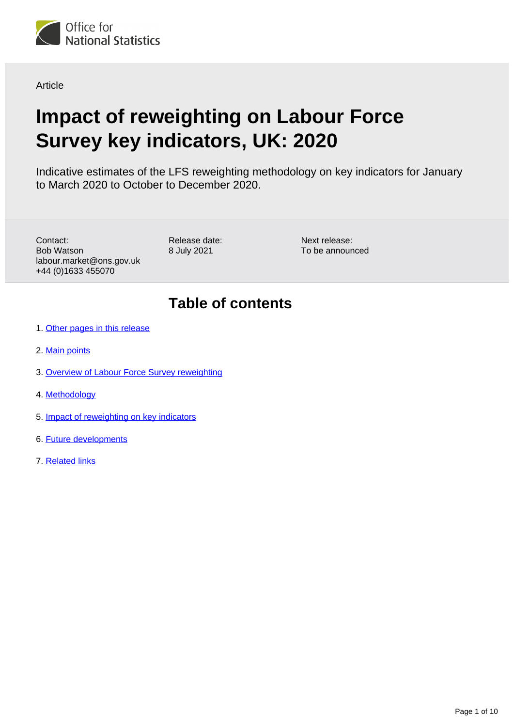

Article

# **Impact of reweighting on Labour Force Survey key indicators, UK: 2020**

Indicative estimates of the LFS reweighting methodology on key indicators for January to March 2020 to October to December 2020.

Contact: Bob Watson labour.market@ons.gov.uk +44 (0)1633 455070

Release date: 8 July 2021

Next release: To be announced

# **Table of contents**

- 1. [Other pages in this release](#page-1-0)
- 2. [Main points](#page-1-1)
- 3. [Overview of Labour Force Survey reweighting](#page-1-2)
- 4. [Methodology](#page-2-0)
- 5. [Impact of reweighting on key indicators](#page-4-0)
- 6. [Future developments](#page-8-0)
- 7. [Related links](#page-9-0)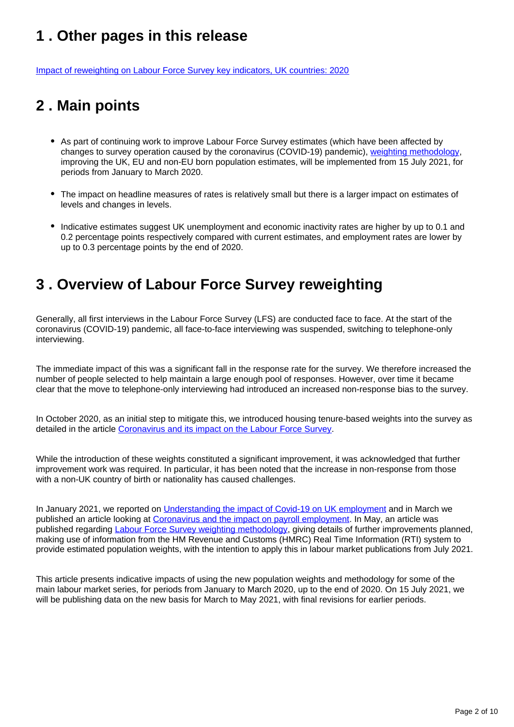# <span id="page-1-0"></span>**1 . Other pages in this release**

[Impact of reweighting on Labour Force Survey key indicators, UK countries: 2020](https://www.ons.gov.uk/employmentandlabourmarket/peopleinwork/employmentandemployeetypes/articles/impactofreweightingonlabourforcesurveykeyindicatorsukcountries/2020)

# <span id="page-1-1"></span>**2 . Main points**

- As part of continuing work to improve Labour Force Survey estimates (which have been affected by changes to survey operation caused by the coronavirus (COVID-19) pandemic), [weighting methodology](https://www.ons.gov.uk/employmentandlabourmarket/peopleinwork/employmentandemployeetypes/methodologies/labourforcesurveyweightingmethodology), improving the UK, EU and non-EU born population estimates, will be implemented from 15 July 2021, for periods from January to March 2020.
- The impact on headline measures of rates is relatively small but there is a larger impact on estimates of levels and changes in levels.
- Indicative estimates suggest UK unemployment and economic inactivity rates are higher by up to 0.1 and 0.2 percentage points respectively compared with current estimates, and employment rates are lower by up to 0.3 percentage points by the end of 2020.

# <span id="page-1-2"></span>**3 . Overview of Labour Force Survey reweighting**

Generally, all first interviews in the Labour Force Survey (LFS) are conducted face to face. At the start of the coronavirus (COVID-19) pandemic, all face-to-face interviewing was suspended, switching to telephone-only interviewing.

The immediate impact of this was a significant fall in the response rate for the survey. We therefore increased the number of people selected to help maintain a large enough pool of responses. However, over time it became clear that the move to telephone-only interviewing had introduced an increased non-response bias to the survey.

In October 2020, as an initial step to mitigate this, we introduced housing tenure-based weights into the survey as detailed in the article [Coronavirus and its impact on the Labour Force Survey](https://www.ons.gov.uk/employmentandlabourmarket/peopleinwork/employmentandemployeetypes/articles/coronavirusanditsimpactonthelabourforcesurvey/2020-10-13).

While the introduction of these weights constituted a significant improvement, it was acknowledged that further improvement work was required. In particular, it has been noted that the increase in non-response from those with a non-UK country of birth or nationality has caused challenges.

In January 2021, we reported on [Understanding the impact of Covid-19 on UK employment](https://blog.ons.gov.uk/2021/01/25/understanding-how-the-pandemic-population/) and in March we published an article looking at [Coronavirus and the impact on payroll employment.](https://www.ons.gov.uk/employmentandlabourmarket/peopleinwork/employmentandemployeetypes/articles/coronavirusandtheimpactonpayrollemployment/experimentalanalysis) In May, an article was published regarding [Labour Force Survey weighting methodology](https://www.ons.gov.uk/employmentandlabourmarket/peopleinwork/employmentandemployeetypes/methodologies/labourforcesurveyweightingmethodology), giving details of further improvements planned, making use of information from the HM Revenue and Customs (HMRC) Real Time Information (RTI) system to provide estimated population weights, with the intention to apply this in labour market publications from July 2021.

This article presents indicative impacts of using the new population weights and methodology for some of the main labour market series, for periods from January to March 2020, up to the end of 2020. On 15 July 2021, we will be publishing data on the new basis for March to May 2021, with final revisions for earlier periods.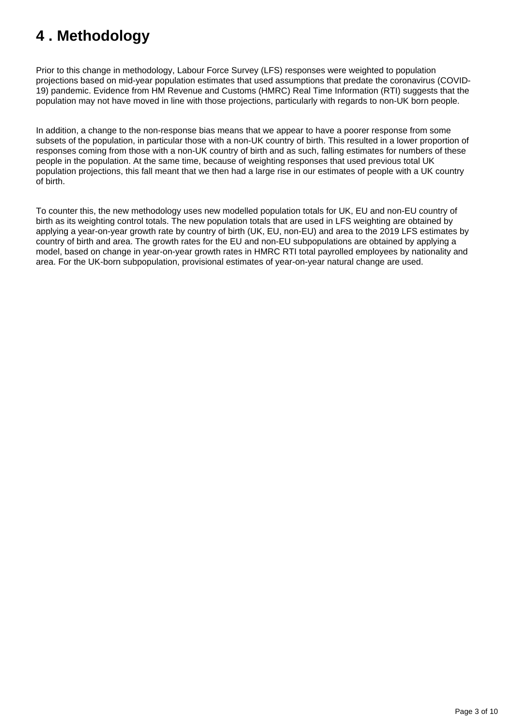# <span id="page-2-0"></span>**4 . Methodology**

Prior to this change in methodology, Labour Force Survey (LFS) responses were weighted to population projections based on mid-year population estimates that used assumptions that predate the coronavirus (COVID-19) pandemic. Evidence from HM Revenue and Customs (HMRC) Real Time Information (RTI) suggests that the population may not have moved in line with those projections, particularly with regards to non-UK born people.

In addition, a change to the non-response bias means that we appear to have a poorer response from some subsets of the population, in particular those with a non-UK country of birth. This resulted in a lower proportion of responses coming from those with a non-UK country of birth and as such, falling estimates for numbers of these people in the population. At the same time, because of weighting responses that used previous total UK population projections, this fall meant that we then had a large rise in our estimates of people with a UK country of birth.

To counter this, the new methodology uses new modelled population totals for UK, EU and non-EU country of birth as its weighting control totals. The new population totals that are used in LFS weighting are obtained by applying a year-on-year growth rate by country of birth (UK, EU, non-EU) and area to the 2019 LFS estimates by country of birth and area. The growth rates for the EU and non-EU subpopulations are obtained by applying a model, based on change in year-on-year growth rates in HMRC RTI total payrolled employees by nationality and area. For the UK-born subpopulation, provisional estimates of year-on-year natural change are used.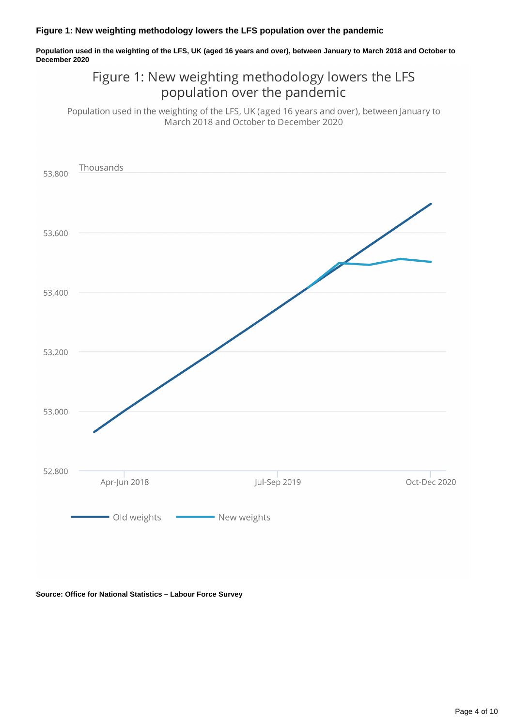### **Figure 1: New weighting methodology lowers the LFS population over the pandemic**

**Population used in the weighting of the LFS, UK (aged 16 years and over), between January to March 2018 and October to December 2020**

### Figure 1: New weighting methodology lowers the LFS population over the pandemic

Population used in the weighting of the LFS, UK (aged 16 years and over), between January to March 2018 and October to December 2020



**Source: Office for National Statistics – Labour Force Survey**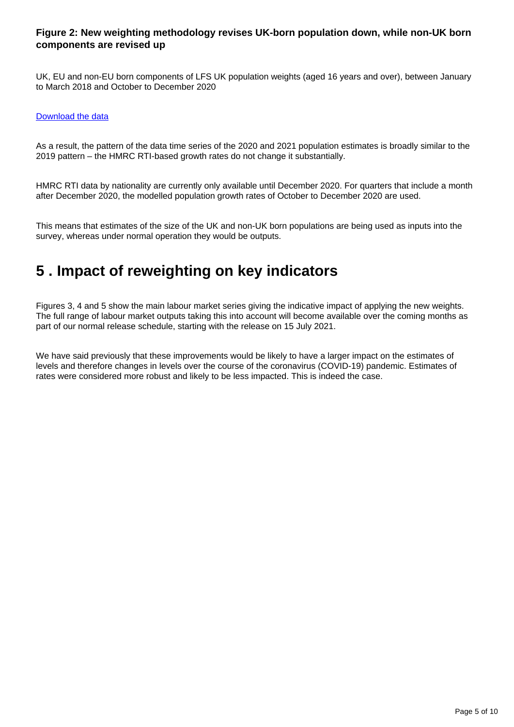### **Figure 2: New weighting methodology revises UK-born population down, while non-UK born components are revised up**

UK, EU and non-EU born components of LFS UK population weights (aged 16 years and over), between January to March 2018 and October to December 2020

### [Download the data](https://www.ons.gov.uk/visualisations/dvc1467/figure2/datadownload.xlsx)

As a result, the pattern of the data time series of the 2020 and 2021 population estimates is broadly similar to the 2019 pattern – the HMRC RTI-based growth rates do not change it substantially.

HMRC RTI data by nationality are currently only available until December 2020. For quarters that include a month after December 2020, the modelled population growth rates of October to December 2020 are used.

This means that estimates of the size of the UK and non-UK born populations are being used as inputs into the survey, whereas under normal operation they would be outputs.

## <span id="page-4-0"></span>**5 . Impact of reweighting on key indicators**

Figures 3, 4 and 5 show the main labour market series giving the indicative impact of applying the new weights. The full range of labour market outputs taking this into account will become available over the coming months as part of our normal release schedule, starting with the release on 15 July 2021.

We have said previously that these improvements would be likely to have a larger impact on the estimates of levels and therefore changes in levels over the course of the coronavirus (COVID-19) pandemic. Estimates of rates were considered more robust and likely to be less impacted. This is indeed the case.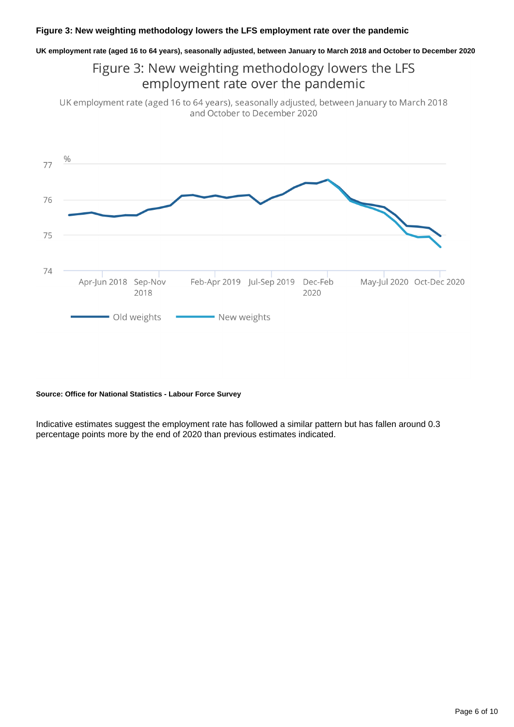**UK employment rate (aged 16 to 64 years), seasonally adjusted, between January to March 2018 and October to December 2020**

Figure 3: New weighting methodology lowers the LFS employment rate over the pandemic

UK employment rate (aged 16 to 64 years), seasonally adjusted, between January to March 2018 and October to December 2020



#### **Source: Office for National Statistics - Labour Force Survey**

Indicative estimates suggest the employment rate has followed a similar pattern but has fallen around 0.3 percentage points more by the end of 2020 than previous estimates indicated.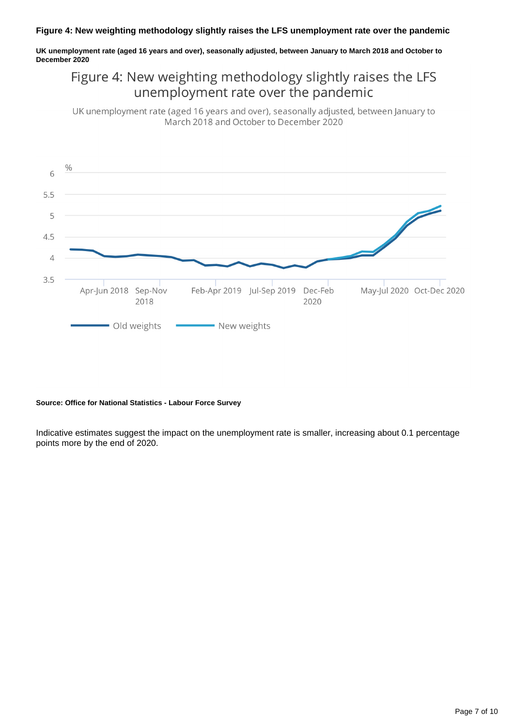### **Figure 4: New weighting methodology slightly raises the LFS unemployment rate over the pandemic**

**UK unemployment rate (aged 16 years and over), seasonally adjusted, between January to March 2018 and October to December 2020**

### Figure 4: New weighting methodology slightly raises the LFS unemployment rate over the pandemic

UK unemployment rate (aged 16 years and over), seasonally adjusted, between January to March 2018 and October to December 2020



#### **Source: Office for National Statistics - Labour Force Survey**

Indicative estimates suggest the impact on the unemployment rate is smaller, increasing about 0.1 percentage points more by the end of 2020.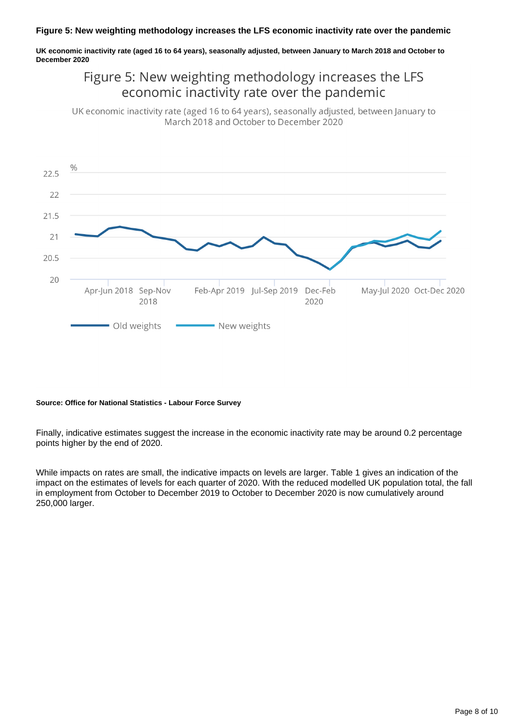### **Figure 5: New weighting methodology increases the LFS economic inactivity rate over the pandemic**

**UK economic inactivity rate (aged 16 to 64 years), seasonally adjusted, between January to March 2018 and October to December 2020**

### Figure 5: New weighting methodology increases the LFS economic inactivity rate over the pandemic

UK economic inactivity rate (aged 16 to 64 years), seasonally adjusted, between January to March 2018 and October to December 2020



#### **Source: Office for National Statistics - Labour Force Survey**

Finally, indicative estimates suggest the increase in the economic inactivity rate may be around 0.2 percentage points higher by the end of 2020.

While impacts on rates are small, the indicative impacts on levels are larger. Table 1 gives an indication of the impact on the estimates of levels for each quarter of 2020. With the reduced modelled UK population total, the fall in employment from October to December 2019 to October to December 2020 is now cumulatively around 250,000 larger.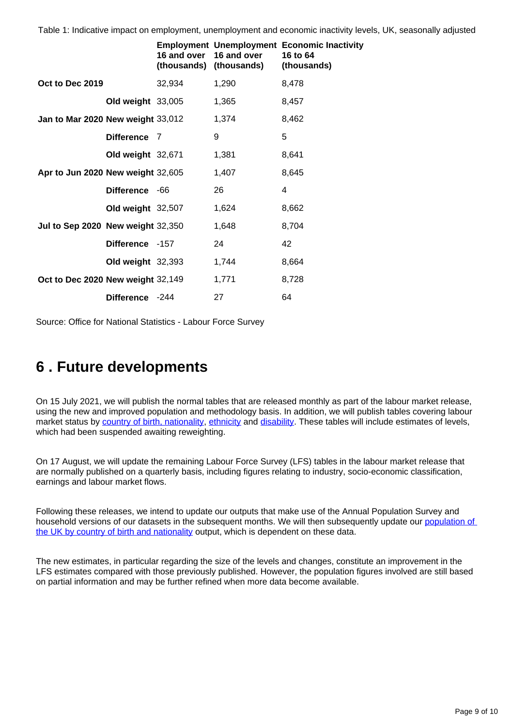Table 1: Indicative impact on employment, unemployment and economic inactivity levels, UK, seasonally adjusted

|                                   |                   |        | 16 and over 16 and over<br>(thousands) (thousands) | <b>Employment Unemployment Economic Inactivity</b><br>16 to 64<br>(thousands) |
|-----------------------------------|-------------------|--------|----------------------------------------------------|-------------------------------------------------------------------------------|
| Oct to Dec 2019                   |                   | 32,934 | 1,290                                              | 8,478                                                                         |
|                                   | Old weight 33,005 |        | 1,365                                              | 8,457                                                                         |
| Jan to Mar 2020 New weight 33,012 |                   |        | 1,374                                              | 8,462                                                                         |
|                                   | Difference 7      |        | 9                                                  | 5                                                                             |
|                                   | Old weight 32,671 |        | 1,381                                              | 8,641                                                                         |
| Apr to Jun 2020 New weight 32,605 |                   |        | 1,407                                              | 8,645                                                                         |
|                                   | Difference -66    |        | 26                                                 | 4                                                                             |
|                                   | Old weight 32,507 |        | 1,624                                              | 8,662                                                                         |
| Jul to Sep 2020 New weight 32,350 |                   |        | 1,648                                              | 8,704                                                                         |
|                                   | Difference -157   |        | 24                                                 | 42                                                                            |
|                                   | Old weight 32,393 |        | 1,744                                              | 8,664                                                                         |
| Oct to Dec 2020 New weight 32,149 |                   |        | 1,771                                              | 8,728                                                                         |
|                                   | Difference -244   |        | 27                                                 | 64                                                                            |

Source: Office for National Statistics - Labour Force Survey

# <span id="page-8-0"></span>**6 . Future developments**

On 15 July 2021, we will publish the normal tables that are released monthly as part of the labour market release, using the new and improved population and methodology basis. In addition, we will publish tables covering labour market status by [country of birth, nationality](https://www.ons.gov.uk/employmentandlabourmarket/peopleinwork/employmentandemployeetypes/datasets/a12employmentunemploymentandeconomicinactivitybynationalityandcountryofbirth), [ethnicity](https://www.ons.gov.uk/employmentandlabourmarket/peopleinwork/employmentandemployeetypes/datasets/labourmarketstatusbyethnicgroupa09) and [disability.](https://www.ons.gov.uk/employmentandlabourmarket/peopleinwork/employmentandemployeetypes/datasets/labourmarketstatusofdisabledpeoplea08) These tables will include estimates of levels, which had been suspended awaiting reweighting.

On 17 August, we will update the remaining Labour Force Survey (LFS) tables in the labour market release that are normally published on a quarterly basis, including figures relating to industry, socio-economic classification, earnings and labour market flows.

Following these releases, we intend to update our outputs that make use of the Annual Population Survey and household versions of our datasets in the subsequent months. We will then subsequently update our population of [the UK by country of birth and nationality](https://www.ons.gov.uk/peoplepopulationandcommunity/populationandmigration/internationalmigration/datasets/populationoftheunitedkingdombycountryofbirthandnationality) output, which is dependent on these data.

The new estimates, in particular regarding the size of the levels and changes, constitute an improvement in the LFS estimates compared with those previously published. However, the population figures involved are still based on partial information and may be further refined when more data become available.